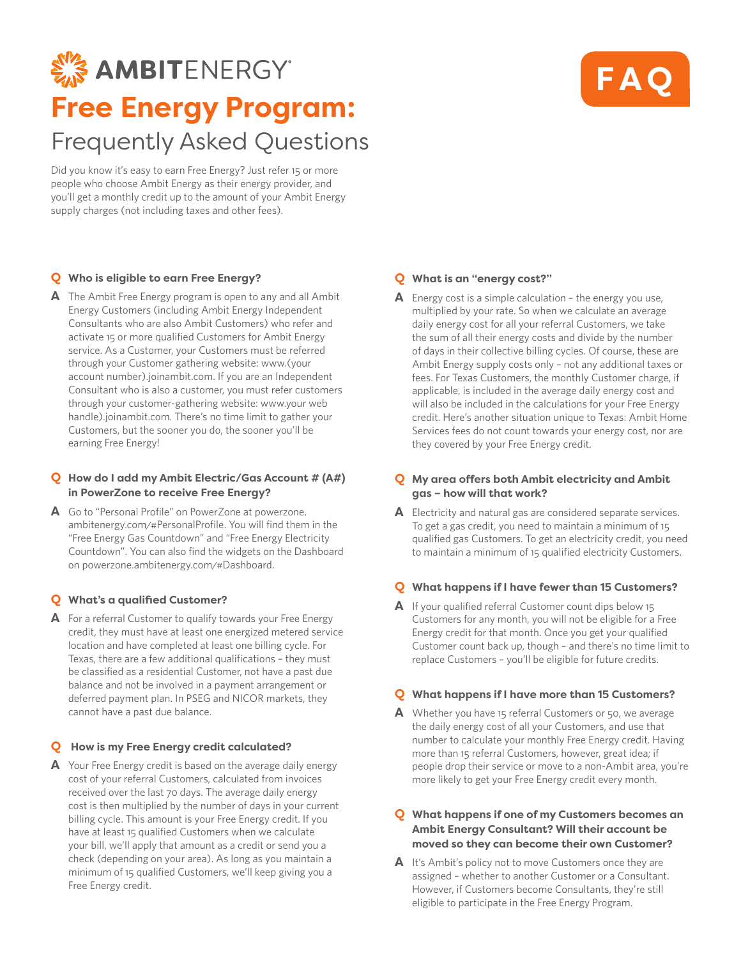# **EX AMBITENERGY Free Energy Program:** Frequently Asked Questions

Did you know it's easy to earn Free Energy? Just refer 15 or more people who choose Ambit Energy as their energy provider, and you'll get a monthly credit up to the amount of your Ambit Energy supply charges (not including taxes and other fees).

# **Q Who is eligible to earn Free Energy?**

**A** The Ambit Free Energy program is open to any and all Ambit Energy Customers (including Ambit Energy Independent Consultants who are also Ambit Customers) who refer and activate 15 or more qualified Customers for Ambit Energy service. As a Customer, your Customers must be referred through your Customer gathering website: www.(your account number).joinambit.com. If you are an Independent Consultant who is also a customer, you must refer customers through your customer-gathering website: www.your web handle).joinambit.com. There's no time limit to gather your Customers, but the sooner you do, the sooner you'll be earning Free Energy!

#### **Q How do I add my Ambit Electric/Gas Account # (A#) in PowerZone to receive Free Energy?**

**A** Go to "Personal Profile" on PowerZone at powerzone. ambitenergy.com/#PersonalProfile. You will find them in the "Free Energy Gas Countdown" and "Free Energy Electricity Countdown". You can also find the widgets on the Dashboard on powerzone.ambitenergy.com/#Dashboard.

# **Q What's a qualified Customer?**

**A** For a referral Customer to qualify towards your Free Energy credit, they must have at least one energized metered service location and have completed at least one billing cycle. For Texas, there are a few additional qualifications – they must be classified as a residential Customer, not have a past due balance and not be involved in a payment arrangement or deferred payment plan. In PSEG and NICOR markets, they cannot have a past due balance.

#### **Q How is my Free Energy credit calculated?**

**A** Your Free Energy credit is based on the average daily energy cost of your referral Customers, calculated from invoices received over the last 70 days. The average daily energy cost is then multiplied by the number of days in your current billing cycle. This amount is your Free Energy credit. If you have at least 15 qualified Customers when we calculate your bill, we'll apply that amount as a credit or send you a check (depending on your area). As long as you maintain a minimum of 15 qualified Customers, we'll keep giving you a Free Energy credit.

### **Q What is an "energy cost?"**

**A** Energy cost is a simple calculation – the energy you use, multiplied by your rate. So when we calculate an average daily energy cost for all your referral Customers, we take the sum of all their energy costs and divide by the number of days in their collective billing cycles. Of course, these are Ambit Energy supply costs only – not any additional taxes or fees. For Texas Customers, the monthly Customer charge, if applicable, is included in the average daily energy cost and will also be included in the calculations for your Free Energy credit. Here's another situation unique to Texas: Ambit Home Services fees do not count towards your energy cost, nor are they covered by your Free Energy credit.

### **Q My area offers both Ambit electricity and Ambit gas – how will that work?**

**A** Electricity and natural gas are considered separate services. To get a gas credit, you need to maintain a minimum of 15 qualified gas Customers. To get an electricity credit, you need to maintain a minimum of 15 qualified electricity Customers.

#### **Q What happens if I have fewer than 15 Customers?**

**A** If your qualified referral Customer count dips below 15 Customers for any month, you will not be eligible for a Free Energy credit for that month. Once you get your qualified Customer count back up, though – and there's no time limit to replace Customers – you'll be eligible for future credits.

#### **Q What happens if I have more than 15 Customers?**

**A** Whether you have 15 referral Customers or 50, we average the daily energy cost of all your Customers, and use that number to calculate your monthly Free Energy credit. Having more than 15 referral Customers, however, great idea; if people drop their service or move to a non-Ambit area, you're more likely to get your Free Energy credit every month.

#### **Q What happens if one of my Customers becomes an Ambit Energy Consultant? Will their account be moved so they can become their own Customer?**

**A** It's Ambit's policy not to move Customers once they are assigned – whether to another Customer or a Consultant. However, if Customers become Consultants, they're still eligible to participate in the Free Energy Program.